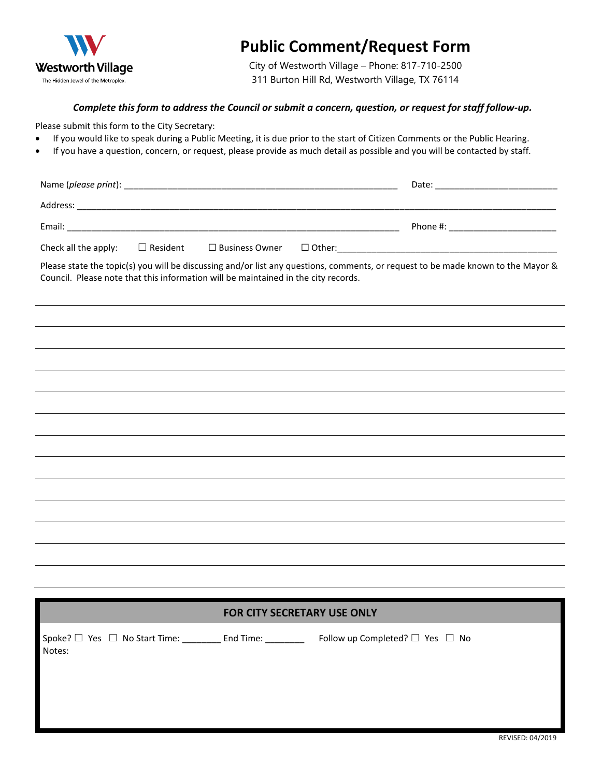

## **Public Comment/Request Form**

City of Westworth Village – Phone: 817-710-2500 311 Burton Hill Rd, Westworth Village, TX 76114

## *Complete this form to address the Council or submit a concern, question, or request for staff follow-up.*

Please submit this form to the City Secretary:

- If you would like to speak during a Public Meeting, it is due prior to the start of Citizen Comments or the Public Hearing.
- If you have a question, concern, or request, please provide as much detail as possible and you will be contacted by staff.

|        |  |                                                                                                                                                                                                                                |  | Date:    |  |
|--------|--|--------------------------------------------------------------------------------------------------------------------------------------------------------------------------------------------------------------------------------|--|----------|--|
|        |  | Address: the contract of the contract of the contract of the contract of the contract of the contract of the contract of the contract of the contract of the contract of the contract of the contract of the contract of the c |  |          |  |
| Email: |  |                                                                                                                                                                                                                                |  | Phone #: |  |
|        |  | Check all the apply: $\square$ Resident $\square$ Business Owner $\square$ Other:                                                                                                                                              |  |          |  |

Please state the topic(s) you will be discussing and/or list any questions, comments, or request to be made known to the Mayor & Council. Please note that this information will be maintained in the city records.

|                                                                                                                  | <b>FOR CITY SECRETARY USE ONLY</b> |                                           |  |  |
|------------------------------------------------------------------------------------------------------------------|------------------------------------|-------------------------------------------|--|--|
| $\mathsf{Spole?} \ \Box \ \mathsf{Yes} \ \Box \ \mathsf{No}$ Start Time: _________ End Time: _________<br>Notes: |                                    | Follow up Completed? $\Box$ Yes $\Box$ No |  |  |
|                                                                                                                  |                                    |                                           |  |  |